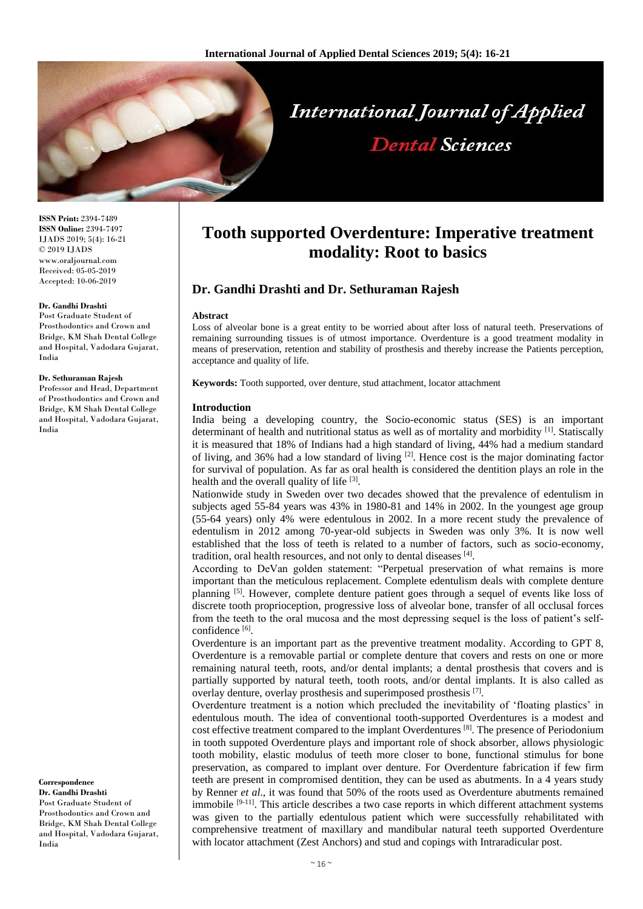

**ISSN Print:** 2394-7489 **ISSN Online:** 2394-7497 IJADS 2019; 5(4): 16-21 © 2019 IJADS www.oraljournal.com Received: 05-05-2019 Accepted: 10-06-2019

#### **Dr. Gandhi Drashti**

Post Graduate Student of Prosthodontics and Crown and Bridge, KM Shah Dental College and Hospital, Vadodara Gujarat, India

### **Dr. Sethuraman Rajesh**

Professor and Head, Department of Prosthodontics and Crown and Bridge, KM Shah Dental College and Hospital, Vadodara Gujarat, India

**Correspondence Dr. Gandhi Drashti** Post Graduate Student of Prosthodontics and Crown and Bridge, KM Shah Dental College and Hospital, Vadodara Gujarat, India

# **Tooth supported Overdenture: Imperative treatment modality: Root to basics**

# **Dr. Gandhi Drashti and Dr. Sethuraman Rajesh**

#### **Abstract**

Loss of alveolar bone is a great entity to be worried about after loss of natural teeth. Preservations of remaining surrounding tissues is of utmost importance. Overdenture is a good treatment modality in means of preservation, retention and stability of prosthesis and thereby increase the Patients perception, acceptance and quality of life.

**Keywords:** Tooth supported, over denture, stud attachment, locator attachment

#### **Introduction**

India being a developing country, the Socio-economic status (SES) is an important determinant of health and nutritional status as well as of mortality and morbidity  $[1]$ . Statiscally it is measured that 18% of Indians had a high standard of living, 44% had a medium standard of living, and 36% had a low standard of living <sup>[2]</sup>. Hence cost is the major dominating factor for survival of population. As far as oral health is considered the dentition plays an role in the health and the overall quality of life [3].

Nationwide study in Sweden over two decades showed that the prevalence of edentulism in subjects aged 55-84 years was 43% in 1980-81 and 14% in 2002. In the youngest age group (55-64 years) only 4% were edentulous in 2002. In a more recent study the prevalence of edentulism in 2012 among 70-year-old subjects in Sweden was only 3%. It is now well established that the loss of teeth is related to a number of factors, such as socio-economy, tradition, oral health resources, and not only to dental diseases [4].

According to DeVan golden statement: "Perpetual preservation of what remains is more important than the meticulous replacement. Complete edentulism deals with complete denture planning <sup>[5]</sup>. However, complete denture patient goes through a sequel of events like loss of discrete tooth proprioception, progressive loss of alveolar bone, transfer of all occlusal forces from the teeth to the oral mucosa and the most depressing sequel is the loss of patient's selfconfidence [6].

Overdenture is an important part as the preventive treatment modality. According to GPT 8, Overdenture is a removable partial or complete denture that covers and rests on one or more remaining natural teeth, roots, and/or dental implants; a dental prosthesis that covers and is partially supported by natural teeth, tooth roots, and/or dental implants. It is also called as overlay denture, overlay prosthesis and superimposed prosthesis [7].

Overdenture treatment is a notion which precluded the inevitability of 'floating plastics' in edentulous mouth. The idea of conventional tooth-supported Overdentures is a modest and cost effective treatment compared to the implant Overdentures<sup>[8]</sup>. The presence of Periodonium in tooth suppoted Overdenture plays and important role of shock absorber, allows physiologic tooth mobility, elastic modulus of teeth more closer to bone, functional stimulus for bone preservation, as compared to implant over denture. For Overdenture fabrication if few firm teeth are present in compromised dentition, they can be used as abutments. In a 4 years study by Renner *et al*., it was found that 50% of the roots used as Overdenture abutments remained immobile <sup>[9-11]</sup>. This article describes a two case reports in which different attachment systems was given to the partially edentulous patient which were successfully rehabilitated with comprehensive treatment of maxillary and mandibular natural teeth supported Overdenture with locator attachment (Zest Anchors) and stud and copings with Intraradicular post.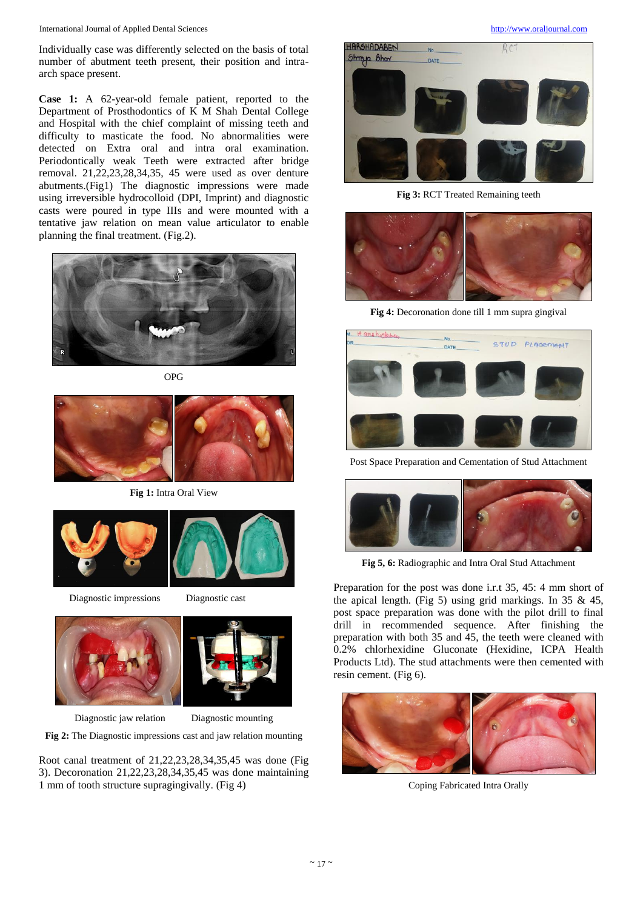International Journal of Applied Dental Sciences [http://www.oraljournal.com](http://www.oraljournal.com/)

Individually case was differently selected on the basis of total number of abutment teeth present, their position and intraarch space present.

**Case 1:** A 62-year-old female patient, reported to the Department of Prosthodontics of K M Shah Dental College and Hospital with the chief complaint of missing teeth and difficulty to masticate the food. No abnormalities were detected on Extra oral and intra oral examination. Periodontically weak Teeth were extracted after bridge removal. 21,22,23,28,34,35, 45 were used as over denture abutments.(Fig1) The diagnostic impressions were made using irreversible hydrocolloid (DPI, Imprint) and diagnostic casts were poured in type IIIs and were mounted with a tentative jaw relation on mean value articulator to enable planning the final treatment. (Fig.2).



OPG



**Fig 1:** Intra Oral View



Diagnostic impressions Diagnostic cast



Diagnostic jaw relation Diagnostic mounting

**Fig 2:** The Diagnostic impressions cast and jaw relation mounting

Root canal treatment of 21,22,23,28,34,35,45 was done (Fig 3). Decoronation 21,22,23,28,34,35,45 was done maintaining 1 mm of tooth structure supragingivally. (Fig 4)



**Fig 3:** RCT Treated Remaining teeth



**Fig 4:** Decoronation done till 1 mm supra gingival



Post Space Preparation and Cementation of Stud Attachment



**Fig 5, 6:** Radiographic and Intra Oral Stud Attachment

Preparation for the post was done i.r.t 35, 45: 4 mm short of the apical length. (Fig 5) using grid markings. In 35 & 45, post space preparation was done with the pilot drill to final drill in recommended sequence. After finishing the preparation with both 35 and 45, the teeth were cleaned with 0.2% chlorhexidine Gluconate (Hexidine, ICPA Health Products Ltd). The stud attachments were then cemented with resin cement. (Fig 6).



Coping Fabricated Intra Orally

 $\sim$  17  $\sim$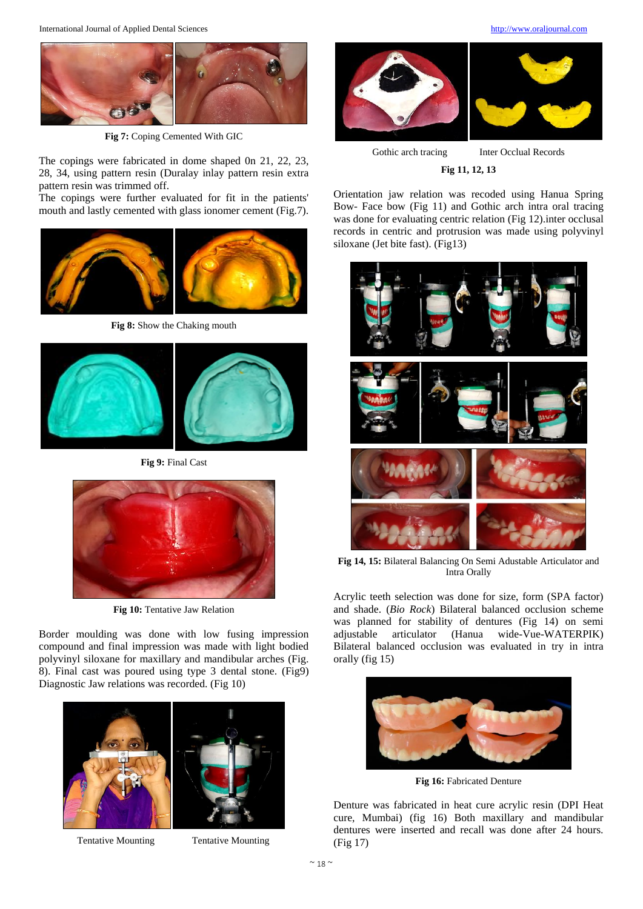

**Fig 7:** Coping Cemented With GIC

The copings were fabricated in dome shaped 0n 21, 22, 23, 28, 34, using pattern resin (Duralay inlay pattern resin extra pattern resin was trimmed off.

The copings were further evaluated for fit in the patients' mouth and lastly cemented with glass ionomer cement (Fig.7).



**Fig 8:** Show the Chaking mouth



**Fig 9:** Final Cast



**Fig 10:** Tentative Jaw Relation

Border moulding was done with low fusing impression compound and final impression was made with light bodied polyvinyl siloxane for maxillary and mandibular arches (Fig. 8). Final cast was poured using type 3 dental stone. (Fig9) Diagnostic Jaw relations was recorded. (Fig 10)



Tentative Mounting Tentative Mounting



Gothic arch tracing Inter Occlual Records

**Fig 11, 12, 13**

Orientation jaw relation was recoded using Hanua Spring Bow- Face bow (Fig 11) and Gothic arch intra oral tracing was done for evaluating centric relation (Fig 12).inter occlusal records in centric and protrusion was made using polyvinyl siloxane (Jet bite fast). (Fig13)



**Fig 14, 15:** Bilateral Balancing On Semi Adustable Articulator and Intra Orally

Acrylic teeth selection was done for size, form (SPA factor) and shade. (*Bio Rock*) Bilateral balanced occlusion scheme was planned for stability of dentures (Fig 14) on semi adjustable articulator (Hanua wide-Vue-WATERPIK) Bilateral balanced occlusion was evaluated in try in intra orally (fig 15)



**Fig 16:** Fabricated Denture

Denture was fabricated in heat cure acrylic resin (DPI Heat cure, Mumbai) (fig 16) Both maxillary and mandibular dentures were inserted and recall was done after 24 hours. (Fig 17)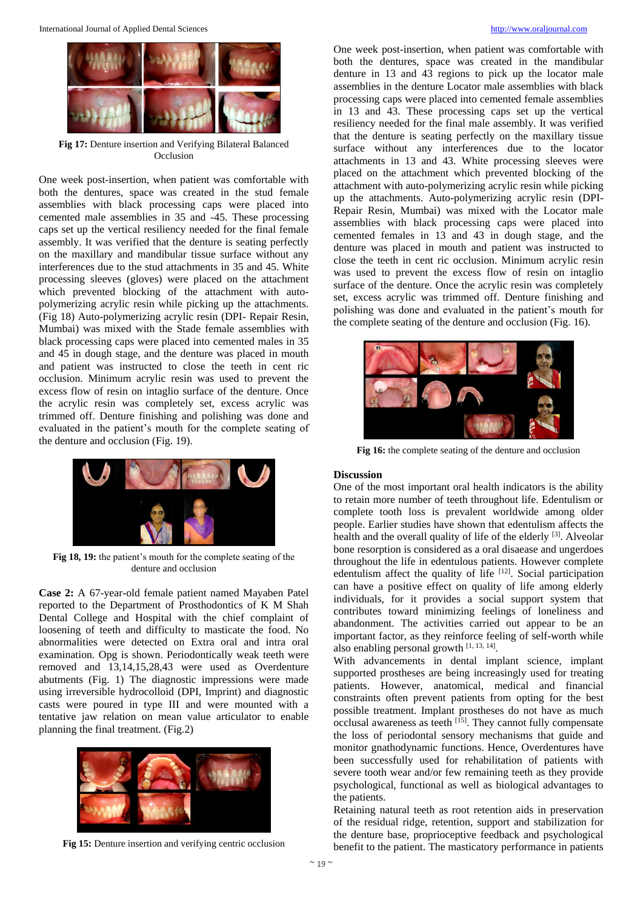

**Fig 17:** Denture insertion and Verifying Bilateral Balanced Occlusion

One week post-insertion, when patient was comfortable with both the dentures, space was created in the stud female assemblies with black processing caps were placed into cemented male assemblies in 35 and -45. These processing caps set up the vertical resiliency needed for the final female assembly. It was verified that the denture is seating perfectly on the maxillary and mandibular tissue surface without any interferences due to the stud attachments in 35 and 45. White processing sleeves (gloves) were placed on the attachment which prevented blocking of the attachment with autopolymerizing acrylic resin while picking up the attachments. (Fig 18) Auto-polymerizing acrylic resin (DPI- Repair Resin, Mumbai) was mixed with the Stade female assemblies with black processing caps were placed into cemented males in 35 and 45 in dough stage, and the denture was placed in mouth and patient was instructed to close the teeth in cent ric occlusion. Minimum acrylic resin was used to prevent the excess flow of resin on intaglio surface of the denture. Once the acrylic resin was completely set, excess acrylic was trimmed off. Denture finishing and polishing was done and evaluated in the patient's mouth for the complete seating of the denture and occlusion (Fig. 19).



**Fig 18, 19:** the patient's mouth for the complete seating of the denture and occlusion

**Case 2:** A 67-year-old female patient named Mayaben Patel reported to the Department of Prosthodontics of K M Shah Dental College and Hospital with the chief complaint of loosening of teeth and difficulty to masticate the food. No abnormalities were detected on Extra oral and intra oral examination. Opg is shown. Periodontically weak teeth were removed and 13,14,15,28,43 were used as Overdenture abutments (Fig. 1) The diagnostic impressions were made using irreversible hydrocolloid (DPI, Imprint) and diagnostic casts were poured in type III and were mounted with a tentative jaw relation on mean value articulator to enable planning the final treatment. (Fig.2)



both the dentures, space was created in the mandibular denture in 13 and 43 regions to pick up the locator male assemblies in the denture Locator male assemblies with black processing caps were placed into cemented female assemblies in 13 and 43. These processing caps set up the vertical resiliency needed for the final male assembly. It was verified that the denture is seating perfectly on the maxillary tissue surface without any interferences due to the locator attachments in 13 and 43. White processing sleeves were placed on the attachment which prevented blocking of the attachment with auto-polymerizing acrylic resin while picking up the attachments. Auto-polymerizing acrylic resin (DPI-Repair Resin, Mumbai) was mixed with the Locator male assemblies with black processing caps were placed into cemented females in 13 and 43 in dough stage, and the denture was placed in mouth and patient was instructed to close the teeth in cent ric occlusion. Minimum acrylic resin was used to prevent the excess flow of resin on intaglio surface of the denture. Once the acrylic resin was completely set, excess acrylic was trimmed off. Denture finishing and polishing was done and evaluated in the patient's mouth for the complete seating of the denture and occlusion (Fig. 16).

One week post-insertion, when patient was comfortable with



**Fig 16:** the complete seating of the denture and occlusion

# **Discussion**

One of the most important oral health indicators is the ability to retain more number of teeth throughout life. Edentulism or complete tooth loss is prevalent worldwide among older people. Earlier studies have shown that edentulism affects the health and the overall quality of life of the elderly [3]. Alveolar bone resorption is considered as a oral disaease and ungerdoes throughout the life in edentulous patients. However complete edentulism affect the quality of life <sup>[12]</sup>. Social participation can have a positive effect on quality of life among elderly individuals, for it provides a social support system that contributes toward minimizing feelings of loneliness and abandonment. The activities carried out appear to be an important factor, as they reinforce feeling of self-worth while also enabling personal growth [1, 13, 14].

With advancements in dental implant science, implant supported prostheses are being increasingly used for treating patients. However, anatomical, medical and financial constraints often prevent patients from opting for the best possible treatment. Implant prostheses do not have as much occlusal awareness as teeth [15]. They cannot fully compensate the loss of periodontal sensory mechanisms that guide and monitor gnathodynamic functions. Hence, Overdentures have been successfully used for rehabilitation of patients with severe tooth wear and/or few remaining teeth as they provide psychological, functional as well as biological advantages to the patients.

Retaining natural teeth as root retention aids in preservation of the residual ridge, retention, support and stabilization for the denture base, proprioceptive feedback and psychological benefit to the patient. The masticatory performance in patients

**Fig 15:** Denture insertion and verifying centric occlusion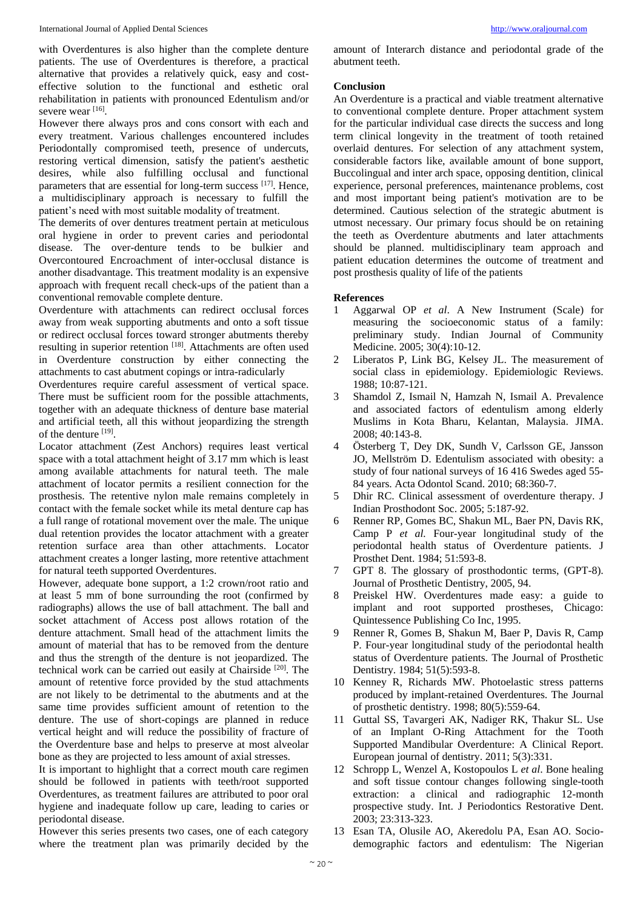with Overdentures is also higher than the complete denture patients. The use of Overdentures is therefore, a practical alternative that provides a relatively quick, easy and costeffective solution to the functional and esthetic oral rehabilitation in patients with pronounced Edentulism and/or severe wear [16].

However there always pros and cons consort with each and every treatment. Various challenges encountered includes Periodontally compromised teeth, presence of undercuts, restoring vertical dimension, satisfy the patient's aesthetic desires, while also fulfilling occlusal and functional parameters that are essential for long-term success [17]. Hence, a multidisciplinary approach is necessary to fulfill the patient's need with most suitable modality of treatment.

The demerits of over dentures treatment pertain at meticulous oral hygiene in order to prevent caries and periodontal disease. The over-denture tends to be bulkier and Overcontoured Encroachment of inter-occlusal distance is another disadvantage. This treatment modality is an expensive approach with frequent recall check-ups of the patient than a conventional removable complete denture.

Overdenture with attachments can redirect occlusal forces away from weak supporting abutments and onto a soft tissue or redirect occlusal forces toward stronger abutments thereby resulting in superior retention<sup>[18]</sup>. Attachments are often used in Overdenture construction by either connecting the attachments to cast abutment copings or intra-radicularly

Overdentures require careful assessment of vertical space. There must be sufficient room for the possible attachments, together with an adequate thickness of denture base material and artificial teeth, all this without jeopardizing the strength of the denture [19].

Locator attachment (Zest Anchors) requires least vertical space with a total attachment height of 3.17 mm which is least among available attachments for natural teeth. The male attachment of locator permits a resilient connection for the prosthesis. The retentive nylon male remains completely in contact with the female socket while its metal denture cap has a full range of rotational movement over the male. The unique dual retention provides the locator attachment with a greater retention surface area than other attachments. Locator attachment creates a longer lasting, more retentive attachment for natural teeth supported Overdentures.

However, adequate bone support, a 1:2 crown/root ratio and at least 5 mm of bone surrounding the root (confirmed by radiographs) allows the use of ball attachment. The ball and socket attachment of Access post allows rotation of the denture attachment. Small head of the attachment limits the amount of material that has to be removed from the denture and thus the strength of the denture is not jeopardized. The technical work can be carried out easily at Chairside<sup>[20]</sup>. The amount of retentive force provided by the stud attachments are not likely to be detrimental to the abutments and at the same time provides sufficient amount of retention to the denture. The use of short-copings are planned in reduce vertical height and will reduce the possibility of fracture of the Overdenture base and helps to preserve at most alveolar bone as they are projected to less amount of axial stresses.

It is important to highlight that a correct mouth care regimen should be followed in patients with teeth/root supported Overdentures, as treatment failures are attributed to poor oral hygiene and inadequate follow up care, leading to caries or periodontal disease.

However this series presents two cases, one of each category where the treatment plan was primarily decided by the amount of Interarch distance and periodontal grade of the abutment teeth.

# **Conclusion**

An Overdenture is a practical and viable treatment alternative to conventional complete denture. Proper attachment system for the particular individual case directs the success and long term clinical longevity in the treatment of tooth retained overlaid dentures. For selection of any attachment system, considerable factors like, available amount of bone support, Buccolingual and inter arch space, opposing dentition, clinical experience, personal preferences, maintenance problems, cost and most important being patient's motivation are to be determined. Cautious selection of the strategic abutment is utmost necessary. Our primary focus should be on retaining the teeth as Overdenture abutments and later attachments should be planned. multidisciplinary team approach and patient education determines the outcome of treatment and post prosthesis quality of life of the patients

# **References**

- 1 Aggarwal OP *et al*. A New Instrument (Scale) for measuring the socioeconomic status of a family: preliminary study. Indian Journal of Community Medicine. 2005; 30(4):10-12.
- 2 Liberatos P, Link BG, Kelsey JL. The measurement of social class in epidemiology. Epidemiologic Reviews. 1988; 10:87-121.
- 3 Shamdol Z, Ismail N, Hamzah N, Ismail A. Prevalence and associated factors of edentulism among elderly Muslims in Kota Bharu, Kelantan, Malaysia. JIMA. 2008; 40:143-8.
- Österberg T, Dey DK, Sundh V, Carlsson GE, Jansson JO, Mellström D. Edentulism associated with obesity: a study of four national surveys of 16 416 Swedes aged 55- 84 years. Acta Odontol Scand. 2010; 68:360-7.
- 5 Dhir RC. Clinical assessment of overdenture therapy. J Indian Prosthodont Soc. 2005; 5:187-92.
- 6 Renner RP, Gomes BC, Shakun ML, Baer PN, Davis RK, Camp P *et al.* Four-year longitudinal study of the periodontal health status of Overdenture patients. J Prosthet Dent. 1984; 51:593-8.
- GPT 8. The glossary of prosthodontic terms, (GPT-8). Journal of Prosthetic Dentistry, 2005, 94.
- 8 Preiskel HW. Overdentures made easy: a guide to implant and root supported prostheses, Chicago: Quintessence Publishing Co Inc, 1995.
- 9 Renner R, Gomes B, Shakun M, Baer P, Davis R, Camp P. Four-year longitudinal study of the periodontal health status of Overdenture patients. The Journal of Prosthetic Dentistry. 1984; 51(5):593-8.
- 10 Kenney R, Richards MW. Photoelastic stress patterns produced by implant-retained Overdentures. The Journal of prosthetic dentistry. 1998; 80(5):559-64.
- 11 Guttal SS, Tavargeri AK, Nadiger RK, Thakur SL. Use of an Implant O-Ring Attachment for the Tooth Supported Mandibular Overdenture: A Clinical Report. European journal of dentistry. 2011; 5(3):331.
- 12 Schropp L, Wenzel A, Kostopoulos L *et al*. Bone healing and soft tissue contour changes following single-tooth extraction: a clinical and radiographic 12-month prospective study. Int. J Periodontics Restorative Dent. 2003; 23:313-323.
- 13 Esan TA, Olusile AO, Akeredolu PA, Esan AO. Sociodemographic factors and edentulism: The Nigerian